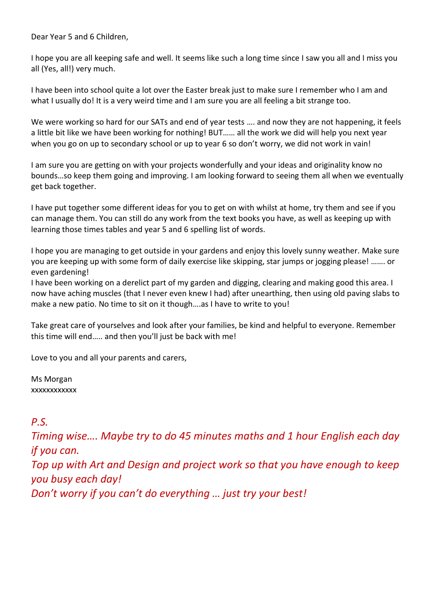Dear Year 5 and 6 Children,

I hope you are all keeping safe and well. It seems like such a long time since I saw you all and I miss you all (Yes, all!) very much.

I have been into school quite a lot over the Easter break just to make sure I remember who I am and what I usually do! It is a very weird time and I am sure you are all feeling a bit strange too.

We were working so hard for our SATs and end of year tests …. and now they are not happening, it feels a little bit like we have been working for nothing! BUT…… all the work we did will help you next year when you go on up to secondary school or up to year 6 so don't worry, we did not work in vain!

I am sure you are getting on with your projects wonderfully and your ideas and originality know no bounds…so keep them going and improving. I am looking forward to seeing them all when we eventually get back together.

I have put together some different ideas for you to get on with whilst at home, try them and see if you can manage them. You can still do any work from the text books you have, as well as keeping up with learning those times tables and year 5 and 6 spelling list of words.

I hope you are managing to get outside in your gardens and enjoy this lovely sunny weather. Make sure you are keeping up with some form of daily exercise like skipping, star jumps or jogging please! ……. or even gardening!

I have been working on a derelict part of my garden and digging, clearing and making good this area. I now have aching muscles (that I never even knew I had) after unearthing, then using old paving slabs to make a new patio. No time to sit on it though….as I have to write to you!

Take great care of yourselves and look after your families, be kind and helpful to everyone. Remember this time will end….. and then you'll just be back with me!

Love to you and all your parents and carers,

Ms Morgan xxxxxxxxxxxx

## *P.S.*

*Timing wise…. Maybe try to do 45 minutes maths and 1 hour English each day if you can.*

*Top up with Art and Design and project work so that you have enough to keep you busy each day!*

*Don't worry if you can't do everything … just try your best!*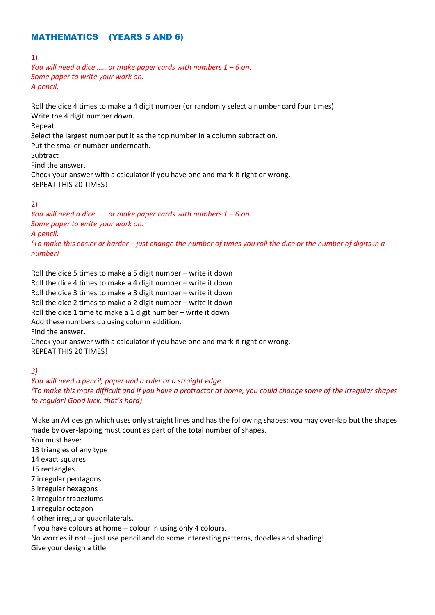## MATHEMATICS (YEARS 5 AND 6)

#### 1)

*You will need a dice ….. or make paper cards with numbers 1 – 6 on. Some paper to write your work on. A pencil.*

Roll the dice 4 times to make a 4 digit number (or randomly select a number card four times) Write the 4 digit number down. Repeat.

Select the largest number put it as the top number in a column subtraction. Put the smaller number underneath. Subtract Find the answer. Check your answer with a calculator if you have one and mark it right or wrong. REPEAT THIS 20 TIMES!

#### 2)

*You will need a dice ….. or make paper cards with numbers 1 – 6 on. Some paper to write your work on. A pencil. (To make this easier or harder – just change the number of times you roll the dice or the number of digits in a number)*

Roll the dice 5 times to make a 5 digit number – write it down Roll the dice 4 times to make a 4 digit number – write it down Roll the dice 3 times to make a 3 digit number – write it down Roll the dice 2 times to make a 2 digit number – write it down Roll the dice 1 time to make a 1 digit number – write it down Add these numbers up using column addition. Find the answer. Check your answer with a calculator if you have one and mark it right or wrong.

REPEAT THIS 20 TIMES!

#### *3)*

*You will need a pencil, paper and a ruler or a straight edge. (To make this more difficult and if you have a protractor at home, you could change some of the irregular shapes to regular! Good luck, that's hard)*

Make an A4 design which uses only straight lines and has the following shapes; you may over-lap but the shapes made by over-lapping must count as part of the total number of shapes.

You must have:

13 triangles of any type

14 exact squares

15 rectangles

7 irregular pentagons

5 irregular hexagons

2 irregular trapeziums

1 irregular octagon

4 other irregular quadrilaterals.

If you have colours at home – colour in using only 4 colours.

No worries if not – just use pencil and do some interesting patterns, doodles and shading! Give your design a title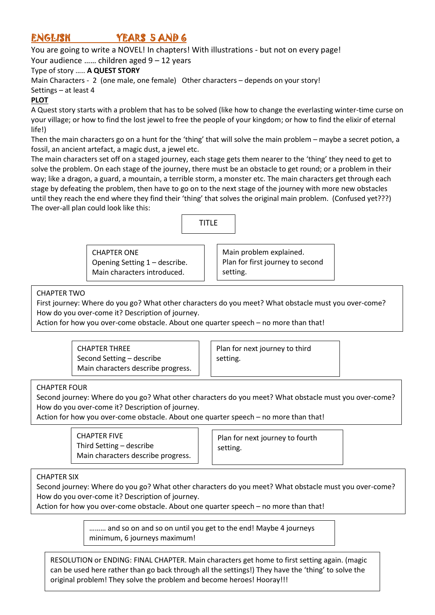# ENGLISH YEARS 5 AND 6

You are going to write a NOVEL! In chapters! With illustrations - but not on every page!

Your audience …… children aged 9 – 12 years

#### Type of story ….. **A QUEST STORY**

Main Characters - 2 (one male, one female) Other characters – depends on your story! Settings – at least 4

### **PLOT**

A Quest story starts with a problem that has to be solved (like how to change the everlasting winter-time curse on your village; or how to find the lost jewel to free the people of your kingdom; or how to find the elixir of eternal life!)

Then the main characters go on a hunt for the 'thing' that will solve the main problem – maybe a secret potion, a fossil, an ancient artefact, a magic dust, a jewel etc.

The main characters set off on a staged journey, each stage gets them nearer to the 'thing' they need to get to solve the problem. On each stage of the journey, there must be an obstacle to get round; or a problem in their way; like a dragon, a guard, a mountain, a terrible storm, a monster etc. The main characters get through each stage by defeating the problem, then have to go on to the next stage of the journey with more new obstacles until they reach the end where they find their 'thing' that solves the original main problem. (Confused yet???) The over-all plan could look like this:



CHAPTER ONE Opening Setting 1 – describe. Main characters introduced.

Main problem explained. Plan for first journey to second setting.

CHAPTER TWO

First journey: Where do you go? What other characters do you meet? What obstacle must you over-come? How do you over-come it? Description of journey.

Action for how you over-come obstacle. About one quarter speech – no more than that!

CHAPTER THREE Second Setting – describe Main characters describe progress.

Plan for next journey to third setting.

#### CHAPTER FOUR

Second journey: Where do you go? What other characters do you meet? What obstacle must you over-come? How do you over-come it? Description of journey.

Action for how you over-come obstacle. About one quarter speech – no more than that!

CHAPTER FIVE Third Setting – describe Main characters describe progress.

Plan for next journey to fourth setting.

#### CHAPTER SIX

Second journey: Where do you go? What other characters do you meet? What obstacle must you over-come? How do you over-come it? Description of journey.

Action for how you over-come obstacle. About one quarter speech – no more than that!

……… and so on and so on until you get to the end! Maybe 4 journeys minimum, 6 journeys maximum!

RESOLUTION or ENDING: FINAL CHAPTER. Main characters get home to first setting again. (magic can be used here rather than go back through all the settings!) They have the 'thing' to solve the original problem! They solve the problem and become heroes! Hooray!!!